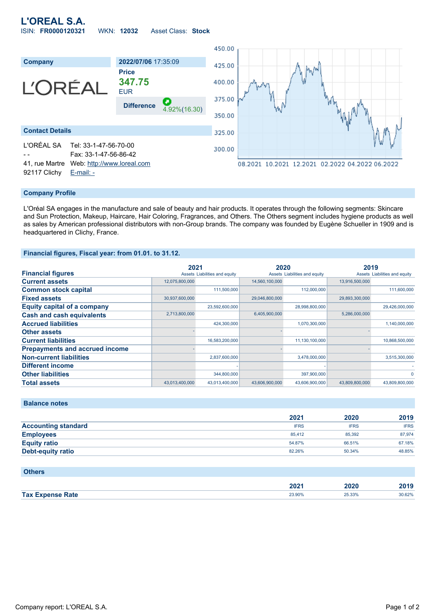## **L'OREAL S.A.** ISIN: **FR0000120321** WKN: **12032** Asset Class: **Stock**



#### **Company Profile**

L'Oréal SA engages in the manufacture and sale of beauty and hair products. It operates through the following segments: Skincare and Sun Protection, Makeup, Haircare, Hair Coloring, Fragrances, and Others. The Others segment includes hygiene products as well as sales by American professional distributors with non-Group brands. The company was founded by Eugène Schueller in 1909 and is headquartered in Clichy, France.

### **Financial figures, Fiscal year: from 01.01. to 31.12.**

|                                       | 2021           |                               | 2020           |                               | 2019           |                               |
|---------------------------------------|----------------|-------------------------------|----------------|-------------------------------|----------------|-------------------------------|
| <b>Financial figures</b>              |                | Assets Liabilities and equity |                | Assets Liabilities and equity |                | Assets Liabilities and equity |
| <b>Current assets</b>                 | 12,075,800,000 |                               | 14,560,100,000 |                               | 13,916,500,000 |                               |
| <b>Common stock capital</b>           |                | 111,500,000                   |                | 112,000,000                   |                | 111,600,000                   |
| <b>Fixed assets</b>                   | 30,937,600,000 |                               | 29,046,800,000 |                               | 29,893,300,000 |                               |
| <b>Equity capital of a company</b>    |                | 23,592,600,000                |                | 28,998,800,000                |                | 29,426,000,000                |
| <b>Cash and cash equivalents</b>      | 2,713,800,000  |                               | 6,405,900,000  |                               | 5,286,000,000  |                               |
| <b>Accrued liabilities</b>            |                | 424,300,000                   |                | 1,070,300,000                 |                | 1,140,000,000                 |
| <b>Other assets</b>                   |                |                               |                |                               |                |                               |
| <b>Current liabilities</b>            |                | 16,583,200,000                |                | 11,130,100,000                |                | 10,868,500,000                |
| <b>Prepayments and accrued income</b> |                |                               |                |                               |                |                               |
| <b>Non-current liabilities</b>        |                | 2,837,600,000                 |                | 3,478,000,000                 |                | 3,515,300,000                 |
| <b>Different income</b>               |                |                               |                |                               |                |                               |
| <b>Other liabilities</b>              |                | 344,800,000                   |                | 397,900,000                   |                | 0                             |
| <b>Total assets</b>                   | 43.013.400.000 | 43.013.400.000                | 43.606.900.000 | 43.606.900.000                | 43.809.800.000 | 43.809.800.000                |

**Balance notes**

|                            | 2021        | 2020        | 2019        |
|----------------------------|-------------|-------------|-------------|
| <b>Accounting standard</b> | <b>IFRS</b> | <b>IFRS</b> | <b>IFRS</b> |
| <b>Employees</b>           | 85.412      | 85.392      | 87.974      |
| <b>Equity ratio</b>        | 54.87%      | 66.51%      | 67.18%      |
| <b>Debt-equity ratio</b>   | 82.26%      | 50.34%      | 48.85%      |

| <b>Others</b>           |        |        |        |
|-------------------------|--------|--------|--------|
|                         | 2021   | 2020   | 2019   |
| <b>Tax Expense Rate</b> | 23.90% | 25.33% | 30.62% |